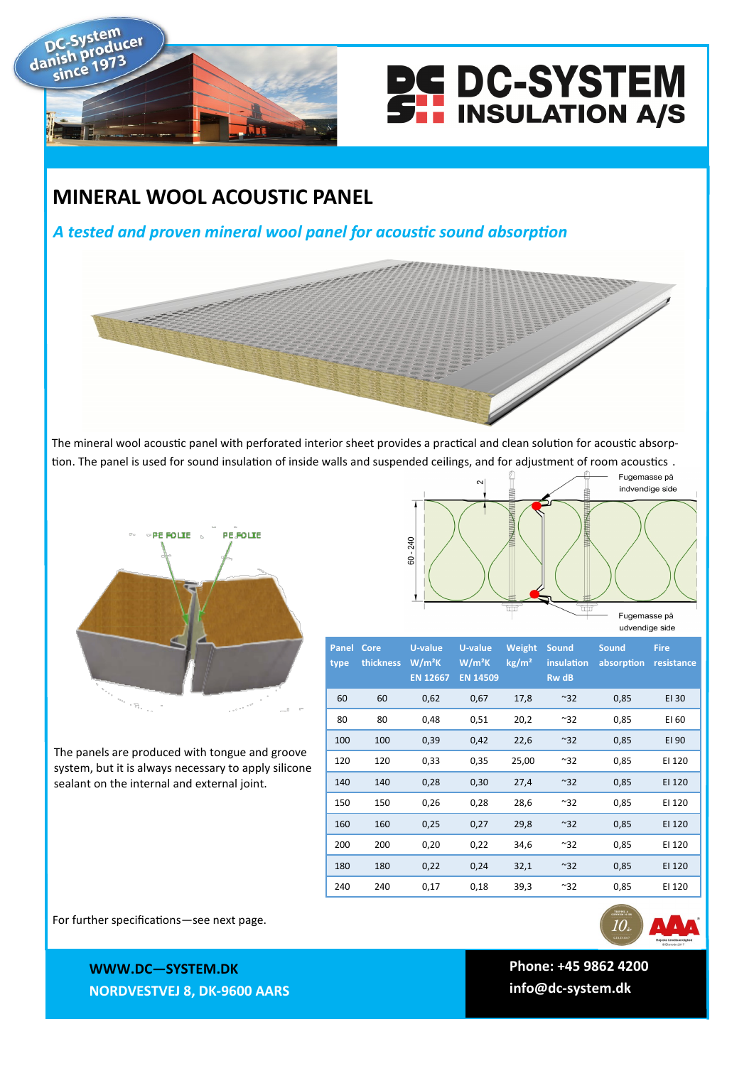

dan



## **MINERAL WOOL ACOUSTIC PANEL**

## *A tested and proven mineral wool panel for acoustic sound absorption*

The mineral wool acoustic panel with perforated interior sheet provides a practical and clean solution for acoustic absorption. The panel is used for sound insulation of inside walls and suspended ceilings, and for adjustment of room acoustics .



The panels are produced with tongue and groove system, but it is always necessary to apply silicone

sealant on the internal and external joint.

Fugemasse på indvendige side 240 င်္ဓ Fugemasse på udvendige side

| Panel<br>type | Core<br>thickness | U-value<br>W/m <sup>2</sup> K<br><b>EN 12667</b> | U-value<br>$W/m^2K$<br><b>EN 14509</b> | Weight<br>kg/m <sup>2</sup> | <b>Sound</b><br>insulation<br><b>RwdB</b> | <b>Sound</b><br>absorption | <b>Fire</b><br>resistance |
|---------------|-------------------|--------------------------------------------------|----------------------------------------|-----------------------------|-------------------------------------------|----------------------------|---------------------------|
| 60            | 60                | 0,62                                             | 0,67                                   | 17,8                        | $~^{\sim}32$                              | 0,85                       | EI 30                     |
| 80            | 80                | 0,48                                             | 0,51                                   | 20,2                        | $~^{\sim}32$                              | 0,85                       | EI 60                     |
| 100           | 100               | 0,39                                             | 0,42                                   | 22,6                        | $~^{\sim}32$                              | 0,85                       | EI 90                     |
| 120           | 120               | 0,33                                             | 0,35                                   | 25,00                       | $~^{\sim}32$                              | 0,85                       | EI 120                    |
| 140           | 140               | 0,28                                             | 0,30                                   | 27,4                        | $~^{\sim}32$                              | 0,85                       | EI 120                    |
| 150           | 150               | 0,26                                             | 0,28                                   | 28,6                        | $~^{\sim}32$                              | 0,85                       | EI 120                    |
| 160           | 160               | 0,25                                             | 0,27                                   | 29,8                        | $~^{\sim}32$                              | 0,85                       | EI 120                    |
| 200           | 200               | 0,20                                             | 0,22                                   | 34,6                        | $~^{\sim}32$                              | 0,85                       | EI 120                    |
| 180           | 180               | 0,22                                             | 0,24                                   | 32,1                        | ~32                                       | 0,85                       | EI 120                    |
| 240           | 240               | 0,17                                             | 0,18                                   | 39,3                        | ~32                                       | 0,85                       | EI 120                    |

For further specifications—see next page.

**WWWW.DC—SYSTEM.DK WWW.DC—SYSTEM.DK NORDVESTVEJ 8, 9600 AARS NORDVESTVEJ 8, DK-9600 AARS**



**TLF: +45 9862 4200 Phone: +45 9862 4200 E-MAIL: DC-SYSTEM@DC-SYSTEM.DK info@dc-system.dk**